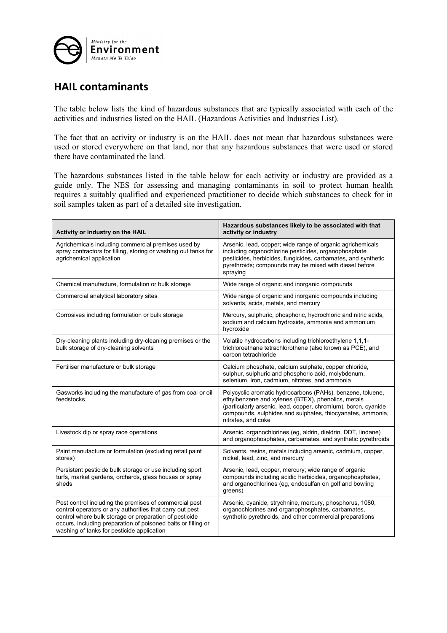

## **HAIL contaminants**

The table below lists the kind of hazardous substances that are typically associated with each of the activities and industries listed on the HAIL (Hazardous Activities and Industries List).

The fact that an activity or industry is on the HAIL does not mean that hazardous substances were used or stored everywhere on that land, nor that any hazardous substances that were used or stored there have contaminated the land.

The hazardous substances listed in the table below for each activity or industry are provided as a guide only. The NES for assessing and managing contaminants in soil to protect human health requires a suitably qualified and experienced practitioner to decide which substances to check for in soil samples taken as part of a detailed site investigation.

| Activity or industry on the HAIL                                                                                                                                                                                                                                                            | Hazardous substances likely to be associated with that<br>activity or industry                                                                                                                                                                                         |
|---------------------------------------------------------------------------------------------------------------------------------------------------------------------------------------------------------------------------------------------------------------------------------------------|------------------------------------------------------------------------------------------------------------------------------------------------------------------------------------------------------------------------------------------------------------------------|
| Agrichemicals including commercial premises used by<br>spray contractors for filling, storing or washing out tanks for<br>agrichemical application                                                                                                                                          | Arsenic, lead, copper; wide range of organic agrichemicals<br>including organochlorine pesticides, organophosphate<br>pesticides, herbicides, fungicides, carbamates, and synthetic<br>pyrethroids; compounds may be mixed with diesel before<br>spraying              |
| Chemical manufacture, formulation or bulk storage                                                                                                                                                                                                                                           | Wide range of organic and inorganic compounds                                                                                                                                                                                                                          |
| Commercial analytical laboratory sites                                                                                                                                                                                                                                                      | Wide range of organic and inorganic compounds including<br>solvents, acids, metals, and mercury                                                                                                                                                                        |
| Corrosives including formulation or bulk storage                                                                                                                                                                                                                                            | Mercury, sulphuric, phosphoric, hydrochloric and nitric acids,<br>sodium and calcium hydroxide, ammonia and ammonium<br>hydroxide                                                                                                                                      |
| Dry-cleaning plants including dry-cleaning premises or the<br>bulk storage of dry-cleaning solvents                                                                                                                                                                                         | Volatile hydrocarbons including trichloroethylene 1,1,1-<br>trichloroethane tetrachlorothene (also known as PCE), and<br>carbon tetrachloride                                                                                                                          |
| Fertiliser manufacture or bulk storage                                                                                                                                                                                                                                                      | Calcium phosphate, calcium sulphate, copper chloride,<br>sulphur, sulphuric and phosphoric acid, molybdenum,<br>selenium, iron, cadmium, nitrates, and ammonia                                                                                                         |
| Gasworks including the manufacture of gas from coal or oil<br>feedstocks                                                                                                                                                                                                                    | Polycyclic aromatic hydrocarbons (PAHs), benzene, toluene,<br>ethylbenzene and xylenes (BTEX), phenolics, metals<br>(particularly arsenic, lead, copper, chromium), boron, cyanide<br>compounds, sulphides and sulphates, thiocyanates, ammonia,<br>nitrates, and coke |
| Livestock dip or spray race operations                                                                                                                                                                                                                                                      | Arsenic, organochlorines (eg, aldrin, dieldrin, DDT, lindane)<br>and organophosphates, carbamates, and synthetic pyrethroids                                                                                                                                           |
| Paint manufacture or formulation (excluding retail paint<br>stores)                                                                                                                                                                                                                         | Solvents, resins, metals including arsenic, cadmium, copper,<br>nickel, lead, zinc, and mercury                                                                                                                                                                        |
| Persistent pesticide bulk storage or use including sport<br>turfs, market gardens, orchards, glass houses or spray<br>sheds                                                                                                                                                                 | Arsenic, lead, copper, mercury; wide range of organic<br>compounds including acidic herbicides, organophosphates,<br>and organochlorines (eg, endosulfan on golf and bowling<br>greens)                                                                                |
| Pest control including the premises of commercial pest<br>control operators or any authorities that carry out pest<br>control where bulk storage or preparation of pesticide<br>occurs, including preparation of poisoned baits or filling or<br>washing of tanks for pesticide application | Arsenic, cyanide, strychnine, mercury, phosphorus, 1080,<br>organochlorines and organophosphates, carbamates,<br>synthetic pyrethroids, and other commercial preparations                                                                                              |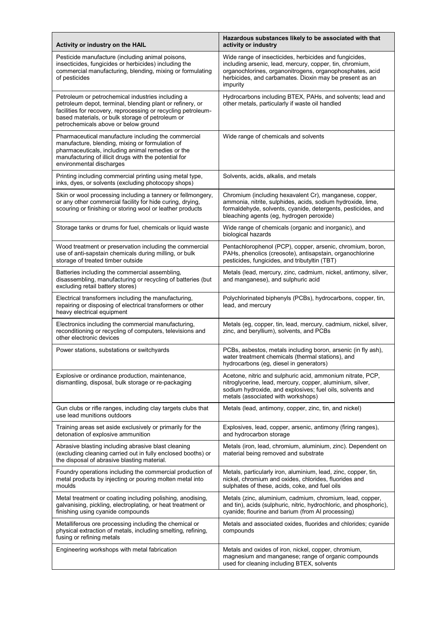| Activity or industry on the HAIL                                                                                                                                                                                                                                            | Hazardous substances likely to be associated with that<br>activity or industry                                                                                                                                                                        |
|-----------------------------------------------------------------------------------------------------------------------------------------------------------------------------------------------------------------------------------------------------------------------------|-------------------------------------------------------------------------------------------------------------------------------------------------------------------------------------------------------------------------------------------------------|
| Pesticide manufacture (including animal poisons,<br>insecticides, fungicides or herbicides) including the<br>commercial manufacturing, blending, mixing or formulating<br>of pesticides                                                                                     | Wide range of insecticides, herbicides and fungicides,<br>including arsenic, lead, mercury, copper, tin, chromium,<br>organochlorines, organonitrogens, organophosphates, acid<br>herbicides, and carbamates. Dioxin may be present as an<br>impurity |
| Petroleum or petrochemical industries including a<br>petroleum depot, terminal, blending plant or refinery, or<br>facilities for recovery, reprocessing or recycling petroleum-<br>based materials, or bulk storage of petroleum or<br>petrochemicals above or below ground | Hydrocarbons including BTEX, PAHs, and solvents; lead and<br>other metals, particularly if waste oil handled                                                                                                                                          |
| Pharmaceutical manufacture including the commercial<br>manufacture, blending, mixing or formulation of<br>pharmaceuticals, including animal remedies or the<br>manufacturing of illicit drugs with the potential for<br>environmental discharges                            | Wide range of chemicals and solvents                                                                                                                                                                                                                  |
| Printing including commercial printing using metal type,<br>inks, dyes, or solvents (excluding photocopy shops)                                                                                                                                                             | Solvents, acids, alkalis, and metals                                                                                                                                                                                                                  |
| Skin or wool processing including a tannery or fellmongery,<br>or any other commercial facility for hide curing, drying,<br>scouring or finishing or storing wool or leather products                                                                                       | Chromium (including hexavalent Cr), manganese, copper,<br>ammonia, nitrite, sulphides, acids, sodium hydroxide, lime,<br>formaldehyde, solvents, cyanide, detergents, pesticides, and<br>bleaching agents (eg, hydrogen peroxide)                     |
| Storage tanks or drums for fuel, chemicals or liquid waste                                                                                                                                                                                                                  | Wide range of chemicals (organic and inorganic), and<br>biological hazards                                                                                                                                                                            |
| Wood treatment or preservation including the commercial<br>use of anti-sapstain chemicals during milling, or bulk<br>storage of treated timber outside                                                                                                                      | Pentachlorophenol (PCP), copper, arsenic, chromium, boron,<br>PAHs, phenolics (creosote), antisapstain, organochlorine<br>pesticides, fungicides, and tributyltin (TBT)                                                                               |
| Batteries including the commercial assembling,<br>disassembling, manufacturing or recycling of batteries (but<br>excluding retail battery stores)                                                                                                                           | Metals (lead, mercury, zinc, cadmium, nickel, antimony, silver,<br>and manganese), and sulphuric acid                                                                                                                                                 |
| Electrical transformers including the manufacturing,<br>repairing or disposing of electrical transformers or other<br>heavy electrical equipment                                                                                                                            | Polychlorinated biphenyls (PCBs), hydrocarbons, copper, tin,<br>lead, and mercury                                                                                                                                                                     |
| Electronics including the commercial manufacturing,<br>reconditioning or recycling of computers, televisions and<br>other electronic devices                                                                                                                                | Metals (eg, copper, tin, lead, mercury, cadmium, nickel, silver,<br>zinc, and beryllium), solvents, and PCBs                                                                                                                                          |
| Power stations, substations or switchyards                                                                                                                                                                                                                                  | PCBs, asbestos, metals including boron, arsenic (in fly ash),<br>water treatment chemicals (thermal stations), and<br>hydrocarbons (eg, diesel in generators)                                                                                         |
| Explosive or ordinance production, maintenance,<br>dismantling, disposal, bulk storage or re-packaging                                                                                                                                                                      | Acetone, nitric and sulphuric acid, ammonium nitrate, PCP,<br>nitroglycerine, lead, mercury, copper, aluminium, silver,<br>sodium hydroxide, and explosives; fuel oils, solvents and<br>metals (associated with workshops)                            |
| Gun clubs or rifle ranges, including clay targets clubs that<br>use lead munitions outdoors                                                                                                                                                                                 | Metals (lead, antimony, copper, zinc, tin, and nickel)                                                                                                                                                                                                |
| Training areas set aside exclusively or primarily for the<br>detonation of explosive ammunition                                                                                                                                                                             | Explosives, lead, copper, arsenic, antimony (firing ranges),<br>and hydrocarbon storage                                                                                                                                                               |
| Abrasive blasting including abrasive blast cleaning<br>(excluding cleaning carried out in fully enclosed booths) or<br>the disposal of abrasive blasting material.                                                                                                          | Metals (iron, lead, chromium, aluminium, zinc). Dependent on<br>material being removed and substrate                                                                                                                                                  |
| Foundry operations including the commercial production of<br>metal products by injecting or pouring molten metal into<br>moulds                                                                                                                                             | Metals, particularly iron, aluminium, lead, zinc, copper, tin,<br>nickel, chromium and oxides, chlorides, fluorides and<br>sulphates of these, acids, coke, and fuel oils                                                                             |
| Metal treatment or coating including polishing, anodising,<br>galvanising, pickling, electroplating, or heat treatment or<br>finishing using cyanide compounds                                                                                                              | Metals (zinc, aluminium, cadmium, chromium, lead, copper,<br>and tin), acids (sulphuric, nitric, hydrochloric, and phosphoric),<br>cyanide; flourine and barium (from AI processing)                                                                  |
| Metalliferous ore processing including the chemical or<br>physical extraction of metals, including smelting, refining,<br>fusing or refining metals                                                                                                                         | Metals and associated oxides, fluorides and chlorides; cyanide<br>compounds                                                                                                                                                                           |
| Engineering workshops with metal fabrication                                                                                                                                                                                                                                | Metals and oxides of iron, nickel, copper, chromium,<br>magnesium and manganese; range of organic compounds<br>used for cleaning including BTEX, solvents                                                                                             |